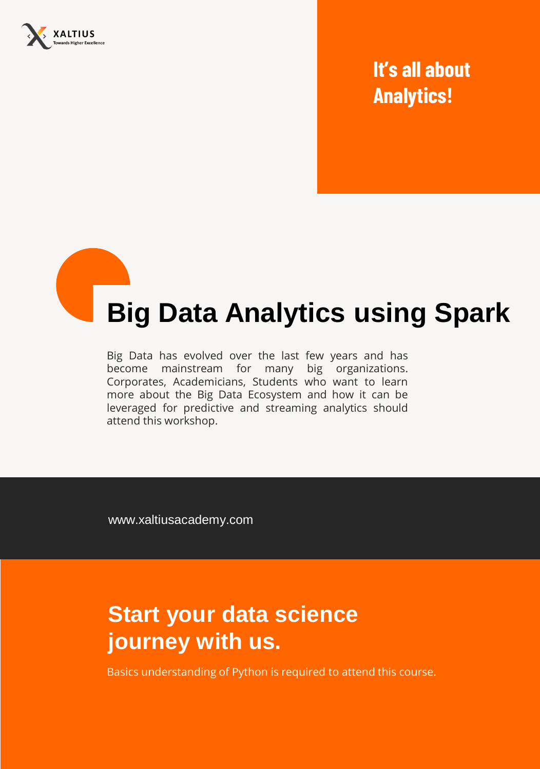

## **It's all about Analytics!**

# **Big Data Analytics using Spark**

Big Data has evolved over the last few years and has become mainstream for many big organizations. Corporates, Academicians, Students who want to learn more about the Big Data Ecosystem and how it can be leveraged for predictive and streaming analytics should attend this workshop.

www.xaltiusacademy.com

## **Start your data science journey with us.**

Basics understanding of Python is required to attend this course.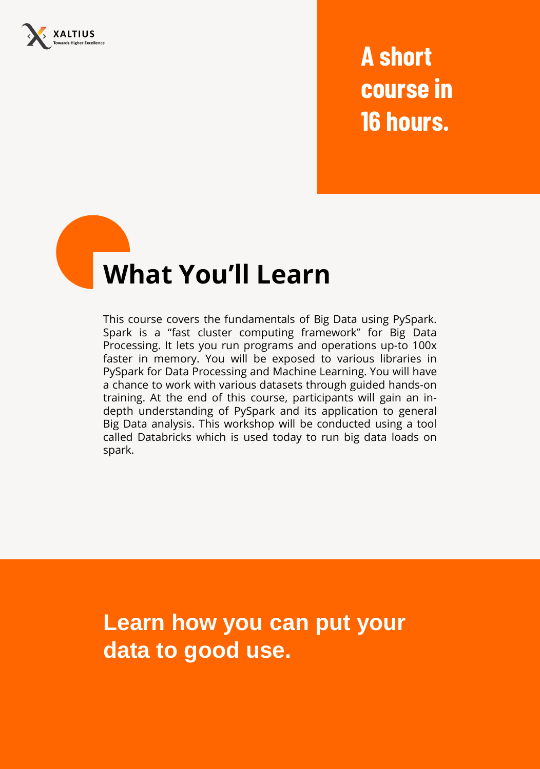

**A short course in 16 hours.**

## **What You'll Learn**

This course covers the fundamentals of Big Data using PySpark. Spark is a "fast cluster computing framework" for Big Data Processing. It lets you run programs and operations up-to 100x faster in memory. You will be exposed to various libraries in PySpark for Data Processing and Machine Learning. You will have a chance to work with various datasets through guided hands-on training. At the end of this course, participants will gain an indepth understanding of PySpark and its application to general Big Data analysis. This workshop will be conducted using a tool called Databricks which is used today to run big data loads on spark.

**Learn how you can put your data to good use.**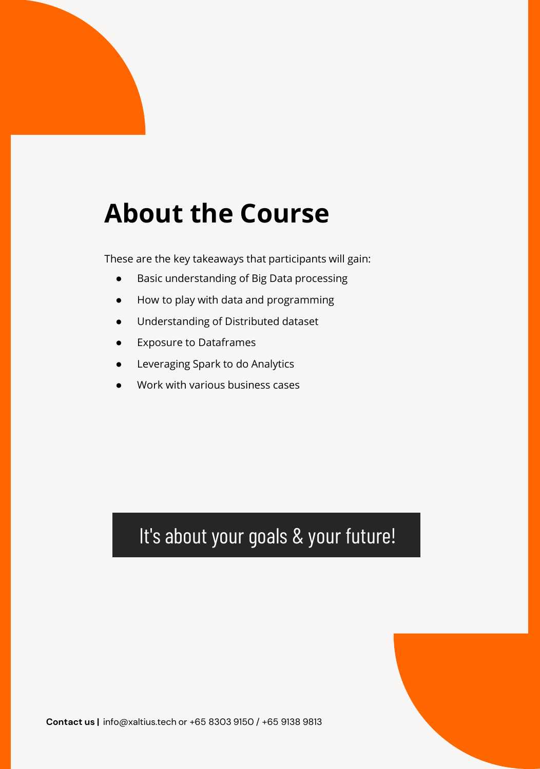## **About the Course**

These are the key takeaways that participants will gain:

- Basic understanding of Big Data processing
- How to play with data and programming
- Understanding of Distributed dataset
- Exposure to Dataframes
- Leveraging Spark to do Analytics
- Work with various business cases

### It's about your goals & your future!

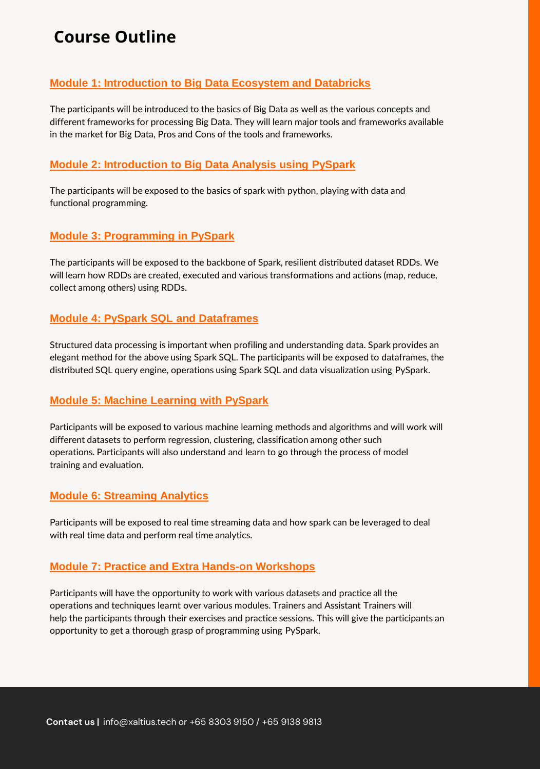### **Course Outline**

#### **Module 1: Introduction to Big Data Ecosystem and Databricks**

The participants will be introduced to the basics of Big Data as well as the various concepts and different frameworks for processing Big Data. They will learn major tools and frameworks available in the market for Big Data, Pros and Cons of the tools and frameworks.

#### **Module 2: Introduction to Big Data Analysis using PySpark**

The participants will be exposed to the basics of spark with python, playing with data and functional programming.

#### **Module 3: Programming in PySpark**

The participants will be exposed to the backbone of Spark, resilient distributed dataset RDDs. We will learn how RDDs are created, executed and various transformations and actions (map, reduce, collect among others) using RDDs.

#### **Module 4: PySpark SQL and Dataframes**

Structured data processing is important when profiling and understanding data. Spark provides an elegant method for the above using Spark SQL. The participants will be exposed to dataframes, the distributed SQL query engine, operations using Spark SQL and data visualization using PySpark.

#### **Module 5: Machine Learning with PySpark**

Participants will be exposed to various machine learning methods and algorithms and will work will different datasets to perform regression, clustering, classification among other such operations. Participants will also understand and learn to go through the process of model training and evaluation.

#### **Module 6: Streaming Analytics**

Participants will be exposed to real time streaming data and how spark can be leveraged to deal with real time data and perform real time analytics.

#### **Module 7: Practice and Extra Hands-on Workshops**

Participants will have the opportunity to work with various datasets and practice all the operations and techniques learnt over various modules. Trainers and Assistant Trainers will help the participants through their exercises and practice sessions. This will give the participants an opportunity to get a thorough grasp of programming using PySpark.